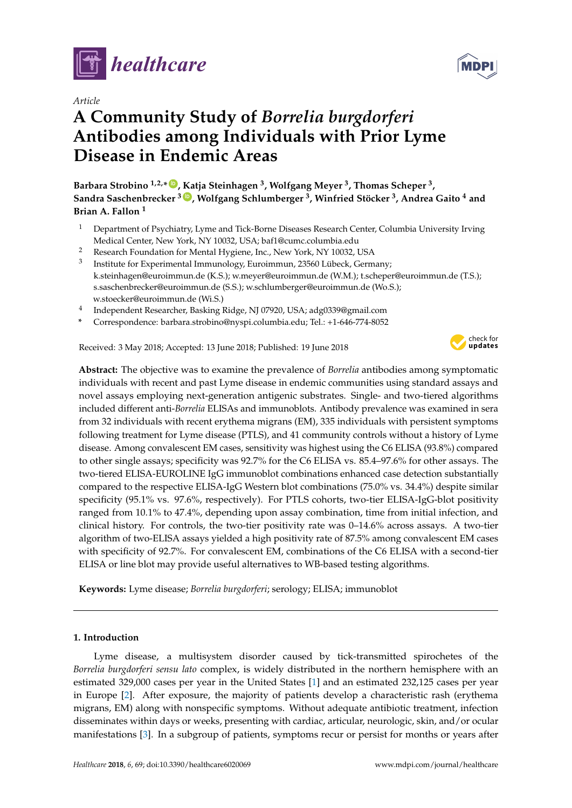

*Article*

# **A Community Study of** *Borrelia burgdorferi* **Antibodies among Individuals with Prior Lyme Disease in Endemic Areas**

**Barbara Strobino 1,2,\* [ID](https://orcid.org/0000-0002-9050-5322) , Katja Steinhagen <sup>3</sup> , Wolfgang Meyer <sup>3</sup> , Thomas Scheper <sup>3</sup> , Sandra Saschenbrecker <sup>3</sup> [ID](https://orcid.org/0000-0002-4769-915X) , Wolfgang Schlumberger <sup>3</sup> , Winfried Stöcker <sup>3</sup> , Andrea Gaito <sup>4</sup> and Brian A. Fallon <sup>1</sup>**

- <sup>1</sup> Department of Psychiatry, Lyme and Tick-Borne Diseases Research Center, Columbia University Irving Medical Center, New York, NY 10032, USA; baf1@cumc.columbia.edu
- <sup>2</sup> Research Foundation for Mental Hygiene, Inc., New York, NY 10032, USA
- 3 Institute for Experimental Immunology, Euroimmun, 23560 Lübeck, Germany; k.steinhagen@euroimmun.de (K.S.); w.meyer@euroimmun.de (W.M.); t.scheper@euroimmun.de (T.S.); s.saschenbrecker@euroimmun.de (S.S.); w.schlumberger@euroimmun.de (Wo.S.); w.stoecker@euroimmun.de (Wi.S.)
- 4 Independent Researcher, Basking Ridge, NJ 07920, USA; adg0339@gmail.com
- **\*** Correspondence: barbara.strobino@nyspi.columbia.edu; Tel.: +1-646-774-8052

Received: 3 May 2018; Accepted: 13 June 2018; Published: 19 June 2018



**Abstract:** The objective was to examine the prevalence of *Borrelia* antibodies among symptomatic individuals with recent and past Lyme disease in endemic communities using standard assays and novel assays employing next-generation antigenic substrates. Single- and two-tiered algorithms included different anti-*Borrelia* ELISAs and immunoblots. Antibody prevalence was examined in sera from 32 individuals with recent erythema migrans (EM), 335 individuals with persistent symptoms following treatment for Lyme disease (PTLS), and 41 community controls without a history of Lyme disease. Among convalescent EM cases, sensitivity was highest using the C6 ELISA (93.8%) compared to other single assays; specificity was 92.7% for the C6 ELISA vs. 85.4–97.6% for other assays. The two-tiered ELISA-EUROLINE IgG immunoblot combinations enhanced case detection substantially compared to the respective ELISA-IgG Western blot combinations (75.0% vs. 34.4%) despite similar specificity (95.1% vs. 97.6%, respectively). For PTLS cohorts, two-tier ELISA-IgG-blot positivity ranged from 10.1% to 47.4%, depending upon assay combination, time from initial infection, and clinical history. For controls, the two-tier positivity rate was 0–14.6% across assays. A two-tier algorithm of two-ELISA assays yielded a high positivity rate of 87.5% among convalescent EM cases with specificity of 92.7%. For convalescent EM, combinations of the C6 ELISA with a second-tier ELISA or line blot may provide useful alternatives to WB-based testing algorithms.

**Keywords:** Lyme disease; *Borrelia burgdorferi*; serology; ELISA; immunoblot

# **1. Introduction**

Lyme disease, a multisystem disorder caused by tick-transmitted spirochetes of the *Borrelia burgdorferi sensu lato* complex, is widely distributed in the northern hemisphere with an estimated 329,000 cases per year in the United States [\[1\]](#page-13-0) and an estimated 232,125 cases per year in Europe [\[2\]](#page-13-1). After exposure, the majority of patients develop a characteristic rash (erythema migrans, EM) along with nonspecific symptoms. Without adequate antibiotic treatment, infection disseminates within days or weeks, presenting with cardiac, articular, neurologic, skin, and/or ocular manifestations [\[3\]](#page-13-2). In a subgroup of patients, symptoms recur or persist for months or years after

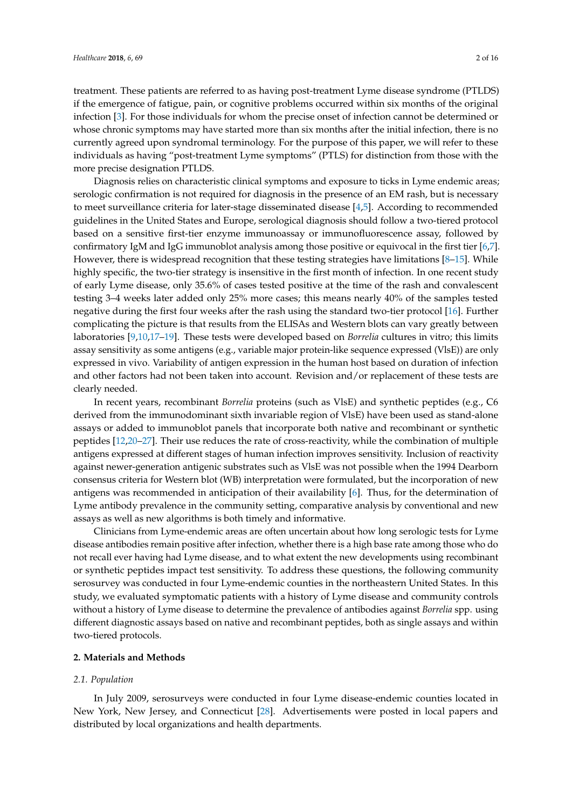treatment. These patients are referred to as having post-treatment Lyme disease syndrome (PTLDS) if the emergence of fatigue, pain, or cognitive problems occurred within six months of the original infection [\[3\]](#page-13-2). For those individuals for whom the precise onset of infection cannot be determined or whose chronic symptoms may have started more than six months after the initial infection, there is no currently agreed upon syndromal terminology. For the purpose of this paper, we will refer to these individuals as having "post-treatment Lyme symptoms" (PTLS) for distinction from those with the more precise designation PTLDS.

Diagnosis relies on characteristic clinical symptoms and exposure to ticks in Lyme endemic areas; serologic confirmation is not required for diagnosis in the presence of an EM rash, but is necessary to meet surveillance criteria for later-stage disseminated disease [\[4,](#page-13-3)[5\]](#page-13-4). According to recommended guidelines in the United States and Europe, serological diagnosis should follow a two-tiered protocol based on a sensitive first-tier enzyme immunoassay or immunofluorescence assay, followed by confirmatory IgM and IgG immunoblot analysis among those positive or equivocal in the first tier [\[6](#page-13-5)[,7\]](#page-13-6). However, there is widespread recognition that these testing strategies have limitations [\[8](#page-13-7)[–15\]](#page-14-0). While highly specific, the two-tier strategy is insensitive in the first month of infection. In one recent study of early Lyme disease, only 35.6% of cases tested positive at the time of the rash and convalescent testing 3–4 weeks later added only 25% more cases; this means nearly 40% of the samples tested negative during the first four weeks after the rash using the standard two-tier protocol [\[16\]](#page-14-1). Further complicating the picture is that results from the ELISAs and Western blots can vary greatly between laboratories [\[9,](#page-13-8)[10,](#page-13-9)[17](#page-14-2)[–19\]](#page-14-3). These tests were developed based on *Borrelia* cultures in vitro; this limits assay sensitivity as some antigens (e.g., variable major protein-like sequence expressed (VlsE)) are only expressed in vivo. Variability of antigen expression in the human host based on duration of infection and other factors had not been taken into account. Revision and/or replacement of these tests are clearly needed.

In recent years, recombinant *Borrelia* proteins (such as VlsE) and synthetic peptides (e.g., C6 derived from the immunodominant sixth invariable region of VlsE) have been used as stand-alone assays or added to immunoblot panels that incorporate both native and recombinant or synthetic peptides [\[12,](#page-14-4)[20](#page-14-5)[–27\]](#page-14-6). Their use reduces the rate of cross-reactivity, while the combination of multiple antigens expressed at different stages of human infection improves sensitivity. Inclusion of reactivity against newer-generation antigenic substrates such as VlsE was not possible when the 1994 Dearborn consensus criteria for Western blot (WB) interpretation were formulated, but the incorporation of new antigens was recommended in anticipation of their availability [\[6\]](#page-13-5). Thus, for the determination of Lyme antibody prevalence in the community setting, comparative analysis by conventional and new assays as well as new algorithms is both timely and informative.

Clinicians from Lyme-endemic areas are often uncertain about how long serologic tests for Lyme disease antibodies remain positive after infection, whether there is a high base rate among those who do not recall ever having had Lyme disease, and to what extent the new developments using recombinant or synthetic peptides impact test sensitivity. To address these questions, the following community serosurvey was conducted in four Lyme-endemic counties in the northeastern United States. In this study, we evaluated symptomatic patients with a history of Lyme disease and community controls without a history of Lyme disease to determine the prevalence of antibodies against *Borrelia* spp. using different diagnostic assays based on native and recombinant peptides, both as single assays and within two-tiered protocols.

# **2. Materials and Methods**

# *2.1. Population*

In July 2009, serosurveys were conducted in four Lyme disease-endemic counties located in New York, New Jersey, and Connecticut [\[28\]](#page-15-0). Advertisements were posted in local papers and distributed by local organizations and health departments.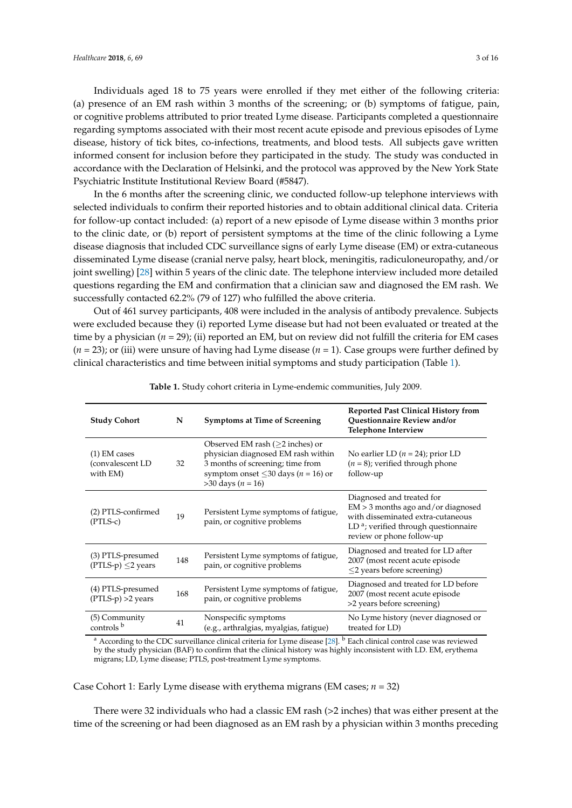Individuals aged 18 to 75 years were enrolled if they met either of the following criteria: (a) presence of an EM rash within 3 months of the screening; or (b) symptoms of fatigue, pain, or cognitive problems attributed to prior treated Lyme disease. Participants completed a questionnaire regarding symptoms associated with their most recent acute episode and previous episodes of Lyme disease, history of tick bites, co-infections, treatments, and blood tests. All subjects gave written informed consent for inclusion before they participated in the study. The study was conducted in accordance with the Declaration of Helsinki, and the protocol was approved by the New York State Psychiatric Institute Institutional Review Board (#5847).

In the 6 months after the screening clinic, we conducted follow-up telephone interviews with selected individuals to confirm their reported histories and to obtain additional clinical data. Criteria for follow-up contact included: (a) report of a new episode of Lyme disease within 3 months prior to the clinic date, or (b) report of persistent symptoms at the time of the clinic following a Lyme disease diagnosis that included CDC surveillance signs of early Lyme disease (EM) or extra-cutaneous disseminated Lyme disease (cranial nerve palsy, heart block, meningitis, radiculoneuropathy, and/or joint swelling) [\[28\]](#page-15-0) within 5 years of the clinic date. The telephone interview included more detailed questions regarding the EM and confirmation that a clinician saw and diagnosed the EM rash. We successfully contacted 62.2% (79 of 127) who fulfilled the above criteria.

Out of 461 survey participants, 408 were included in the analysis of antibody prevalence. Subjects were excluded because they (i) reported Lyme disease but had not been evaluated or treated at the time by a physician (*n* = 29); (ii) reported an EM, but on review did not fulfill the criteria for EM cases (*n* = 23); or (iii) were unsure of having had Lyme disease (*n* = 1). Case groups were further defined by clinical characteristics and time between initial symptoms and study participation (Table [1\)](#page-2-0).

<span id="page-2-0"></span>

| N<br><b>Study Cohort</b>                       |     | <b>Symptoms at Time of Screening</b>                                                                                                                                                                | <b>Reported Past Clinical History from</b><br><b>Ouestionnaire Review and/or</b><br><b>Telephone Interview</b>                                                                          |
|------------------------------------------------|-----|-----------------------------------------------------------------------------------------------------------------------------------------------------------------------------------------------------|-----------------------------------------------------------------------------------------------------------------------------------------------------------------------------------------|
| $(1)$ EM cases<br>(convalescent LD<br>with EM) | 32  | Observed EM rash ( $\geq$ 2 inches) or<br>physician diagnosed EM rash within<br>3 months of screening; time from<br>symptom onset $\leq 30$ days ( <i>n</i> = 16) or<br>$>30$ days ( <i>n</i> = 16) | No earlier LD ( $n = 24$ ); prior LD<br>$(n = 8)$ ; verified through phone<br>follow-up                                                                                                 |
| (2) PTLS-confirmed<br>$(PTLS-c)$               | 19  | Persistent Lyme symptoms of fatigue,<br>pain, or cognitive problems                                                                                                                                 | Diagnosed and treated for<br>$EM > 3$ months ago and/or diagnosed<br>with disseminated extra-cutaneous<br>LD <sup>a</sup> ; verified through questionnaire<br>review or phone follow-up |
| (3) PTLS-presumed<br>(PTLS-p) $\leq$ 2 years   | 148 | Persistent Lyme symptoms of fatigue,<br>pain, or cognitive problems                                                                                                                                 | Diagnosed and treated for LD after<br>2007 (most recent acute episode<br>$\leq$ 2 years before screening)                                                                               |
| (4) PTLS-presumed<br>$(PTLS-p) > 2$ years      | 168 | Persistent Lyme symptoms of fatigue,<br>pain, or cognitive problems                                                                                                                                 | Diagnosed and treated for LD before<br>2007 (most recent acute episode<br>>2 years before screening)                                                                                    |
| (5) Community<br>controls <sup>b</sup>         | 41  | Nonspecific symptoms<br>(e.g., arthralgias, myalgias, fatigue)                                                                                                                                      | No Lyme history (never diagnosed or<br>treated for LD)                                                                                                                                  |

**Table 1.** Study cohort criteria in Lyme-endemic communities, July 2009.

<sup>a</sup> According to the CDC surveillance clinical criteria for Lyme disease [\[28\]](#page-15-0). <sup>b</sup> Each clinical control case was reviewed by the study physician (BAF) to confirm that the clinical history was highly inconsistent with LD. EM, erythema migrans; LD, Lyme disease; PTLS, post-treatment Lyme symptoms.

Case Cohort 1: Early Lyme disease with erythema migrans (EM cases; *n* = 32)

There were 32 individuals who had a classic EM rash (>2 inches) that was either present at the time of the screening or had been diagnosed as an EM rash by a physician within 3 months preceding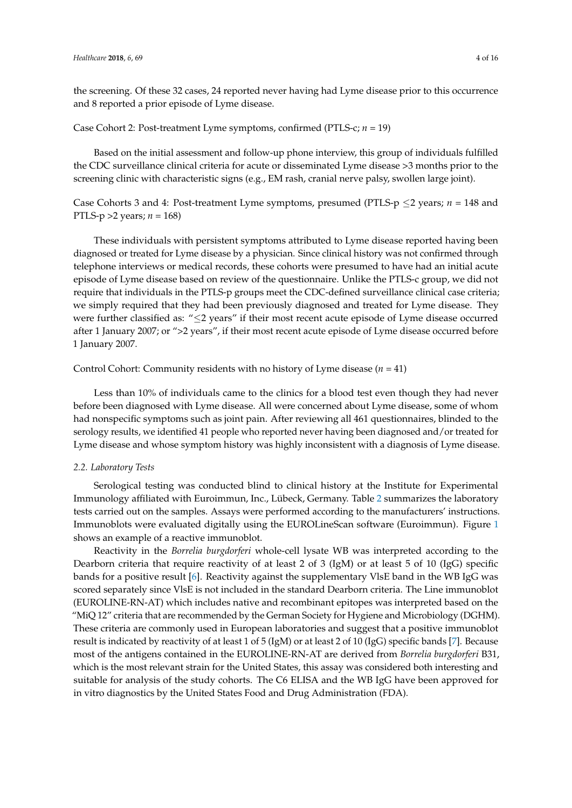the screening. Of these 32 cases, 24 reported never having had Lyme disease prior to this occurrence and 8 reported a prior episode of Lyme disease.

Case Cohort 2: Post-treatment Lyme symptoms, confirmed (PTLS-c; *n* = 19)

Based on the initial assessment and follow-up phone interview, this group of individuals fulfilled the CDC surveillance clinical criteria for acute or disseminated Lyme disease >3 months prior to the screening clinic with characteristic signs (e.g., EM rash, cranial nerve palsy, swollen large joint).

Case Cohorts 3 and 4: Post-treatment Lyme symptoms, presumed (PTLS-p ≤2 years; *n* = 148 and PTLS- $p > 2$  years;  $n = 168$ )

These individuals with persistent symptoms attributed to Lyme disease reported having been diagnosed or treated for Lyme disease by a physician. Since clinical history was not confirmed through telephone interviews or medical records, these cohorts were presumed to have had an initial acute episode of Lyme disease based on review of the questionnaire. Unlike the PTLS-c group, we did not require that individuals in the PTLS-p groups meet the CDC-defined surveillance clinical case criteria; we simply required that they had been previously diagnosed and treated for Lyme disease. They were further classified as: "≤2 years" if their most recent acute episode of Lyme disease occurred after 1 January 2007; or ">2 years", if their most recent acute episode of Lyme disease occurred before 1 January 2007.

Control Cohort: Community residents with no history of Lyme disease (*n* = 41)

Less than 10% of individuals came to the clinics for a blood test even though they had never before been diagnosed with Lyme disease. All were concerned about Lyme disease, some of whom had nonspecific symptoms such as joint pain. After reviewing all 461 questionnaires, blinded to the serology results, we identified 41 people who reported never having been diagnosed and/or treated for Lyme disease and whose symptom history was highly inconsistent with a diagnosis of Lyme disease.

#### *2.2. Laboratory Tests*

Serological testing was conducted blind to clinical history at the Institute for Experimental Immunology affiliated with Euroimmun, Inc., Lübeck, Germany. Table [2](#page-4-0) summarizes the laboratory tests carried out on the samples. Assays were performed according to the manufacturers' instructions. Immunoblots were evaluated digitally using the EUROLineScan software (Euroimmun). Figure [1](#page-5-0) shows an example of a reactive immunoblot.

Reactivity in the *Borrelia burgdorferi* whole-cell lysate WB was interpreted according to the Dearborn criteria that require reactivity of at least 2 of 3 (IgM) or at least 5 of 10 (IgG) specific bands for a positive result [\[6\]](#page-13-5). Reactivity against the supplementary VlsE band in the WB IgG was scored separately since VlsE is not included in the standard Dearborn criteria. The Line immunoblot (EUROLINE-RN-AT) which includes native and recombinant epitopes was interpreted based on the "MiQ 12" criteria that are recommended by the German Society for Hygiene and Microbiology (DGHM). These criteria are commonly used in European laboratories and suggest that a positive immunoblot result is indicated by reactivity of at least 1 of 5 (IgM) or at least 2 of 10 (IgG) specific bands [\[7\]](#page-13-6). Because most of the antigens contained in the EUROLINE-RN-AT are derived from *Borrelia burgdorferi* B31, which is the most relevant strain for the United States, this assay was considered both interesting and suitable for analysis of the study cohorts. The C6 ELISA and the WB IgG have been approved for in vitro diagnostics by the United States Food and Drug Administration (FDA).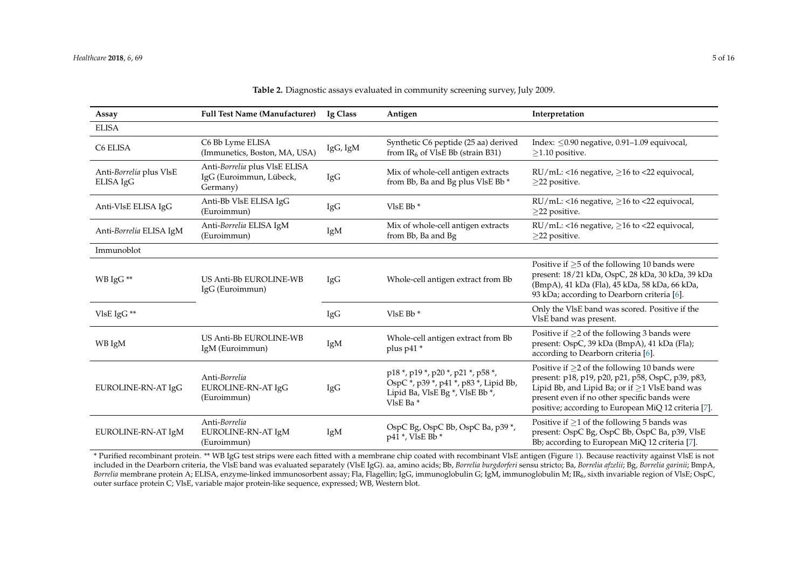| <b>Full Test Name (Manufacturer)</b><br>Assay |                                                                      | Ig Class | Antigen                                                                                                                      | Interpretation                                                                                                                                                                                                                                                           |
|-----------------------------------------------|----------------------------------------------------------------------|----------|------------------------------------------------------------------------------------------------------------------------------|--------------------------------------------------------------------------------------------------------------------------------------------------------------------------------------------------------------------------------------------------------------------------|
| <b>ELISA</b>                                  |                                                                      |          |                                                                                                                              |                                                                                                                                                                                                                                                                          |
| C6 ELISA                                      | C6 Bb Lyme ELISA<br>(Immunetics, Boston, MA, USA)                    | IgG, IgM | Synthetic C6 peptide (25 aa) derived<br>from $IR_6$ of VlsE Bb (strain B31)                                                  | Index: $\leq$ 0.90 negative, 0.91-1.09 equivocal,<br>$>1.10$ positive.                                                                                                                                                                                                   |
| Anti-Borrelia plus VIsE<br>ELISA IgG          | Anti-Borrelia plus VlsE ELISA<br>IgG (Euroimmun, Lübeck,<br>Germany) | IgG      | Mix of whole-cell antigen extracts<br>from Bb, Ba and Bg plus VIsE Bb *                                                      | $RU/mL$ : <16 negative, $\geq$ 16 to <22 equivocal,<br>$\geq$ 22 positive.                                                                                                                                                                                               |
| Anti-VlsE ELISA IgG                           | Anti-Bb VlsE ELISA IgG<br>(Euroimmun)                                | IgG      | $VlsE Bb*$                                                                                                                   | RU/mL: <16 negative, $\geq$ 16 to <22 equivocal,<br>$\geq$ 22 positive.                                                                                                                                                                                                  |
| Anti-Borrelia ELISA IgM                       | Anti-Borrelia ELISA IgM<br>(Euroimmun)                               | IgM      | Mix of whole-cell antigen extracts<br>from Bb, Ba and Bg                                                                     | $RU/mL: < 16$ negative, $>16$ to $< 22$ equivocal,<br>$\geq$ 22 positive.                                                                                                                                                                                                |
| Immunoblot                                    |                                                                      |          |                                                                                                                              |                                                                                                                                                                                                                                                                          |
| WB IgG <sup>**</sup>                          | US Anti-Bb EUROLINE-WB<br>IgG (Euroimmun)                            | IgG      | Whole-cell antigen extract from Bb                                                                                           | Positive if $\geq$ 5 of the following 10 bands were<br>present: 18/21 kDa, OspC, 28 kDa, 30 kDa, 39 kDa<br>(BmpA), 41 kDa (Fla), 45 kDa, 58 kDa, 66 kDa,<br>93 kDa; according to Dearborn criteria [6].                                                                  |
| VlsE IgG <sup>**</sup>                        |                                                                      | IgG      | VlsE Bb <sup>*</sup>                                                                                                         | Only the VIsE band was scored. Positive if the<br>VlsE band was present.                                                                                                                                                                                                 |
| WB IgM                                        | US Anti-Bb EUROLINE-WB<br>IgM (Euroimmun)                            | IgM      | Whole-cell antigen extract from Bb<br>plus p41 *                                                                             | Positive if $\geq$ 2 of the following 3 bands were<br>present: OspC, 39 kDa (BmpA), 41 kDa (Fla);<br>according to Dearborn criteria [6].                                                                                                                                 |
| EUROLINE-RN-AT IgG                            | Anti-Borrelia<br>EUROLINE-RN-AT IgG<br>(Euroimmun)                   | IgG      | p18 *, p19 *, p20 *, p21 *, p58 *,<br>OspC *, p39 *, p41 *, p83 *, Lipid Bb,<br>Lipid Ba, VlsE Bg *, VlsE Bb *,<br>VlsE Ba * | Positive if $\geq$ 2 of the following 10 bands were<br>present: p18, p19, p20, p21, p58, OspC, p39, p83,<br>Lipid Bb, and Lipid Ba; or if $\geq$ 1 VlsE band was<br>present even if no other specific bands were<br>positive; according to European MiQ 12 criteria [7]. |
| EUROLINE-RN-AT IgM                            | Anti-Borrelia<br>EUROLINE-RN-AT IgM<br>(Euroimmun)                   | IgM      | OspC Bg, OspC Bb, OspC Ba, p39 *,<br>p41 *, VlsE Bb *                                                                        | Positive if $\geq$ 1 of the following 5 bands was<br>present: OspC Bg, OspC Bb, OspC Ba, p39, VlsE<br>Bb; according to European MiQ 12 criteria [7].                                                                                                                     |

# **Table 2.** Diagnostic assays evaluated in community screening survey, July 2009.

<span id="page-4-0"></span>\* Purified recombinant protein. \*\* WB IgG test strips were each fitted with a membrane chip coated with recombinant VlsE antigen (Figure [1\)](#page-5-1). Because reactivity against VlsE is not included in the Dearborn criteria, the VlsE band was evaluated separately (VlsE IgG). aa, amino acids; Bb, *Borrelia burgdorferi* sensu stricto; Ba, *Borrelia afzelii*; Bg, *Borrelia garinii*; BmpA, *Borrelia* membrane protein A; ELISA, enzyme-linked immunosorbent assay; Fla, Flagellin; IgG, immunoglobulin G; IgM, immunoglobulin M; IR6, sixth invariable region of VlsE; OspC, outer surface protein C; VlsE, variable major protein-like sequence, expressed; WB, Western blot.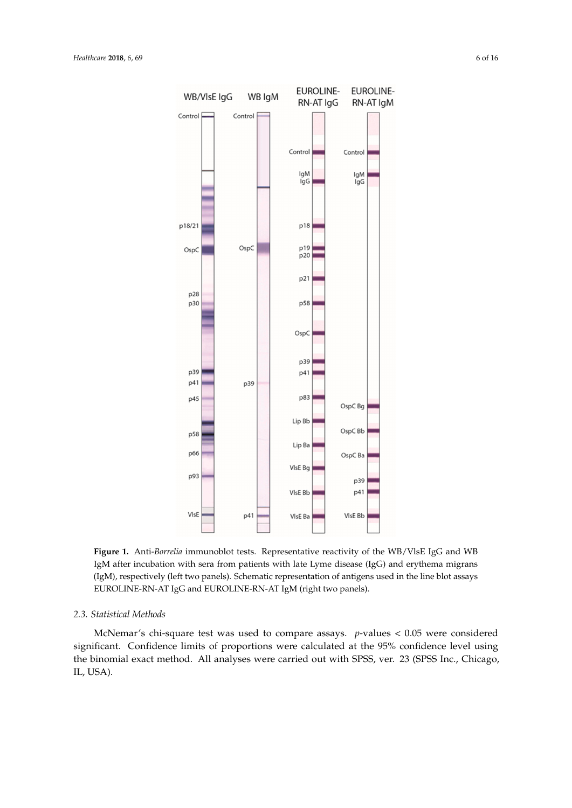<span id="page-5-1"></span><span id="page-5-0"></span>

IgM after incubation with sera from patients with late Lyme disease (IgG) and erythema migrans *EXP* (IgM), respectively (left two panels). Schematic representation of antigens used in the line blot assays  $\overline{\text{I}}$ EUROLINE-RN-AT IgG and EUROLINE-RN-AT IgM (right two panels). **Figure 1.** Anti-*Borrelia* immunoblot tests. Representative reactivity of the WB/VlsE IgG and WB

#### EUROLINE-RN-AT IgG and EUROLINE-RN-AT IgM (right two panels). *2.3. Statistical Methods*

McNemar's chi-square test was used to compare assays. *p*-values < 0.05 were considered significant. Confidence limits of proportions were calculated at the 95% confidence level using the binomial exact method. All analyses were carried out with SPSS, ver. 23 (SPSS Inc., Chicago,  $\mathbf{u}$  is not included in the standard Dearborn criteria. The standard Dearborn criteria. The Line immunoblotted in the standard Dearborn criteria. The Line in the standard Dearborn criteria. The Line in the Line in the IL, USA).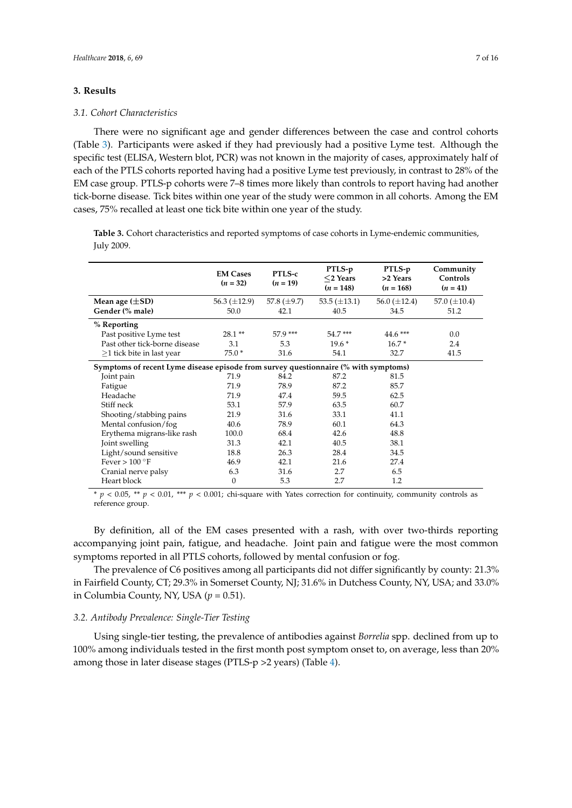# **3. Results**

#### *3.1. Cohort Characteristics*

There were no significant age and gender differences between the case and control cohorts (Table [3\)](#page-6-0). Participants were asked if they had previously had a positive Lyme test. Although the specific test (ELISA, Western blot, PCR) was not known in the majority of cases, approximately half of each of the PTLS cohorts reported having had a positive Lyme test previously, in contrast to 28% of the EM case group. PTLS-p cohorts were 7–8 times more likely than controls to report having had another tick-borne disease. Tick bites within one year of the study were common in all cohorts. Among the EM cases, 75% recalled at least one tick bite within one year of the study.

<span id="page-6-0"></span>**Table 3.** Cohort characteristics and reported symptoms of case cohorts in Lyme-endemic communities, July 2009.

|                                                                                     | <b>EM Cases</b><br>$(n = 32)$ | PTLS-c<br>$(n = 19)$ | PTLS-p<br>$<$ 2 Years<br>$(n = 148)$ | PTLS-p<br>>2 Years<br>$(n = 168)$ | Community<br>Controls<br>$(n = 41)$ |  |  |  |  |
|-------------------------------------------------------------------------------------|-------------------------------|----------------------|--------------------------------------|-----------------------------------|-------------------------------------|--|--|--|--|
| Mean age $(\pm SD)$                                                                 | 56.3 $(\pm 12.9)$             | 57.8 $(\pm 9.7)$     | 53.5 $(\pm 13.1)$                    | 56.0 $(\pm 12.4)$                 | 57.0 $(\pm 10.4)$                   |  |  |  |  |
| Gender (% male)                                                                     | 50.0                          | 42.1                 | 40.5                                 | 34.5                              | 51.2                                |  |  |  |  |
| % Reporting                                                                         |                               |                      |                                      |                                   |                                     |  |  |  |  |
| Past positive Lyme test                                                             | $28.1**$                      | 57.9***              | $54.7***$                            | $44.6***$                         | 0.0                                 |  |  |  |  |
| Past other tick-borne disease                                                       | 3.1                           | 5.3                  | $19.6*$                              | $16.7*$                           | 2.4                                 |  |  |  |  |
| $>1$ tick bite in last year                                                         | $75.0*$                       | 31.6                 | 54.1                                 | 32.7                              | 41.5                                |  |  |  |  |
| Symptoms of recent Lyme disease episode from survey questionnaire (% with symptoms) |                               |                      |                                      |                                   |                                     |  |  |  |  |
| Joint pain                                                                          | 71.9                          | 84.2                 | 87.2                                 | 81.5                              |                                     |  |  |  |  |
| Fatigue                                                                             | 71.9                          | 78.9                 | 87.2                                 | 85.7                              |                                     |  |  |  |  |
| Headache                                                                            | 71.9                          | 47.4                 | 59.5                                 | 62.5                              |                                     |  |  |  |  |
| Stiff neck                                                                          | 53.1                          | 57.9                 | 63.5                                 | 60.7                              |                                     |  |  |  |  |
| Shooting/stabbing pains                                                             | 21.9                          | 31.6                 | 33.1                                 | 41.1                              |                                     |  |  |  |  |
| Mental confusion/fog                                                                | 40.6                          | 78.9                 | 60.1                                 | 64.3                              |                                     |  |  |  |  |
| Erythema migrans-like rash                                                          | 100.0                         | 68.4                 | 42.6                                 | 48.8                              |                                     |  |  |  |  |
| Joint swelling                                                                      | 31.3                          | 42.1                 | 40.5                                 | 38.1                              |                                     |  |  |  |  |
| Light/sound sensitive                                                               | 18.8                          | 26.3                 | 28.4                                 | 34.5                              |                                     |  |  |  |  |
| Fever $> 100$ °F                                                                    | 46.9                          | 42.1                 | 21.6                                 | 27.4                              |                                     |  |  |  |  |
| Cranial nerve palsy                                                                 | 6.3                           | 31.6                 | 2.7                                  | 6.5                               |                                     |  |  |  |  |
| Heart block                                                                         | $\theta$                      | 5.3                  | 2.7                                  | 1.2                               |                                     |  |  |  |  |

 $* p < 0.05$ ,  $** p < 0.01$ ,  $*** p < 0.001$ ; chi-square with Yates correction for continuity, community controls as reference group.

By definition, all of the EM cases presented with a rash, with over two-thirds reporting accompanying joint pain, fatigue, and headache. Joint pain and fatigue were the most common symptoms reported in all PTLS cohorts, followed by mental confusion or fog.

The prevalence of C6 positives among all participants did not differ significantly by county: 21.3% in Fairfield County, CT; 29.3% in Somerset County, NJ; 31.6% in Dutchess County, NY, USA; and 33.0% in Columbia County, NY, USA (*p* = 0.51).

#### *3.2. Antibody Prevalence: Single-Tier Testing*

Using single-tier testing, the prevalence of antibodies against *Borrelia* spp. declined from up to 100% among individuals tested in the first month post symptom onset to, on average, less than 20% among those in later disease stages (PTLS-p >2 years) (Table [4\)](#page-7-0).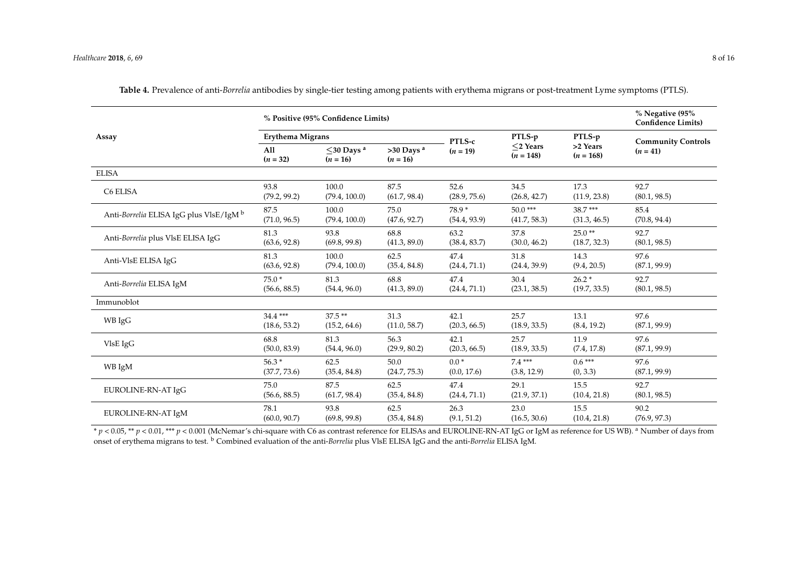|                                                    | % Positive (95% Confidence Limits) | % Negative (95%<br><b>Confidence Limits)</b> |                                       |              |                            |                         |                           |
|----------------------------------------------------|------------------------------------|----------------------------------------------|---------------------------------------|--------------|----------------------------|-------------------------|---------------------------|
| Assay                                              | <b>Erythema Migrans</b>            |                                              |                                       | PTLS-c       | PTLS-p                     | PTLS-p                  | <b>Community Controls</b> |
|                                                    | All<br>$(n = 32)$                  | $<$ 30 Days <sup>a</sup><br>$(n = 16)$       | $>30$ Days <sup>a</sup><br>$(n = 16)$ | $(n = 19)$   | $<$ 2 Years<br>$(n = 148)$ | >2 Years<br>$(n = 168)$ | $(n = 41)$                |
| <b>ELISA</b>                                       |                                    |                                              |                                       |              |                            |                         |                           |
| C6 ELISA                                           | 93.8                               | 100.0                                        | 87.5                                  | 52.6         | 34.5                       | 17.3                    | 92.7                      |
|                                                    | (79.2, 99.2)                       | (79.4, 100.0)                                | (61.7, 98.4)                          | (28.9, 75.6) | (26.8, 42.7)               | (11.9, 23.8)            | (80.1, 98.5)              |
| Anti-Borrelia ELISA IgG plus VlsE/IgM <sup>b</sup> | 87.5                               | 100.0                                        | 75.0                                  | 78.9 *       | $50.0***$                  | $38.7***$               | 85.4                      |
|                                                    | (71.0, 96.5)                       | (79.4, 100.0)                                | (47.6, 92.7)                          | (54.4, 93.9) | (41.7, 58.3)               | (31.3, 46.5)            | (70.8, 94.4)              |
| Anti-Borrelia plus VlsE ELISA IgG                  | 81.3                               | 93.8                                         | 68.8                                  | 63.2         | 37.8                       | $25.0**$                | 92.7                      |
|                                                    | (63.6, 92.8)                       | (69.8, 99.8)                                 | (41.3, 89.0)                          | (38.4, 83.7) | (30.0, 46.2)               | (18.7, 32.3)            | (80.1, 98.5)              |
| Anti-VlsE ELISA IgG                                | 81.3                               | 100.0                                        | 62.5                                  | 47.4         | 31.8                       | 14.3                    | 97.6                      |
|                                                    | (63.6, 92.8)                       | (79.4, 100.0)                                | (35.4, 84.8)                          | (24.4, 71.1) | (24.4, 39.9)               | (9.4, 20.5)             | (87.1, 99.9)              |
| Anti-Borrelia ELISA IgM                            | $75.0*$                            | 81.3                                         | 68.8                                  | 47.4         | 30.4                       | $26.2*$                 | 92.7                      |
|                                                    | (56.6, 88.5)                       | (54.4, 96.0)                                 | (41.3, 89.0)                          | (24.4, 71.1) | (23.1, 38.5)               | (19.7, 33.5)            | (80.1, 98.5)              |
| Immunoblot                                         |                                    |                                              |                                       |              |                            |                         |                           |
| WB IgG                                             | $34.4$ ***                         | $37.5**$                                     | 31.3                                  | 42.1         | 25.7                       | 13.1                    | 97.6                      |
|                                                    | (18.6, 53.2)                       | (15.2, 64.6)                                 | (11.0, 58.7)                          | (20.3, 66.5) | (18.9, 33.5)               | (8.4, 19.2)             | (87.1, 99.9)              |
| VlsE IgG                                           | 68.8                               | 81.3                                         | 56.3                                  | 42.1         | 25.7                       | 11.9                    | 97.6                      |
|                                                    | (50.0, 83.9)                       | (54.4, 96.0)                                 | (29.9, 80.2)                          | (20.3, 66.5) | (18.9, 33.5)               | (7.4, 17.8)             | (87.1, 99.9)              |
| WB IgM                                             | $56.3*$                            | 62.5                                         | 50.0                                  | $0.0*$       | $7.4***$                   | $0.6***$                | 97.6                      |
|                                                    | (37.7, 73.6)                       | (35.4, 84.8)                                 | (24.7, 75.3)                          | (0.0, 17.6)  | (3.8, 12.9)                | (0, 3.3)                | (87.1, 99.9)              |
| EUROLINE-RN-AT IgG                                 | 75.0                               | 87.5                                         | 62.5                                  | 47.4         | 29.1                       | 15.5                    | 92.7                      |
|                                                    | (56.6, 88.5)                       | (61.7, 98.4)                                 | (35.4, 84.8)                          | (24.4, 71.1) | (21.9, 37.1)               | (10.4, 21.8)            | (80.1, 98.5)              |
| EUROLINE-RN-AT IgM                                 | 78.1                               | 93.8                                         | 62.5                                  | 26.3         | 23.0                       | 15.5                    | 90.2                      |
|                                                    | (60.0, 90.7)                       | (69.8, 99.8)                                 | (35.4, 84.8)                          | (9.1, 51.2)  | (16.5, 30.6)               | (10.4, 21.8)            | (76.9, 97.3)              |

| Table 4. Prevalence of anti- <i>Borrelia</i> antibodies by single-tier testing among patients with erythema migrans or post-treatment Lyme symptoms (PTLS). |  |  |  |
|-------------------------------------------------------------------------------------------------------------------------------------------------------------|--|--|--|
|-------------------------------------------------------------------------------------------------------------------------------------------------------------|--|--|--|

<span id="page-7-0"></span>\* *p* < 0.05, \*\* *p* < 0.01, \*\*\* *p* < 0.001 (McNemar's chi-square with C6 as contrast reference for ELISAs and EUROLINE-RN-AT IgG or IgM as reference for US WB). <sup>a</sup> Number of days from onset of erythema migrans to test. <sup>b</sup> Combined evaluation of the anti-*Borrelia* plus VlsE ELISA IgG and the anti-*Borrelia* ELISA IgM.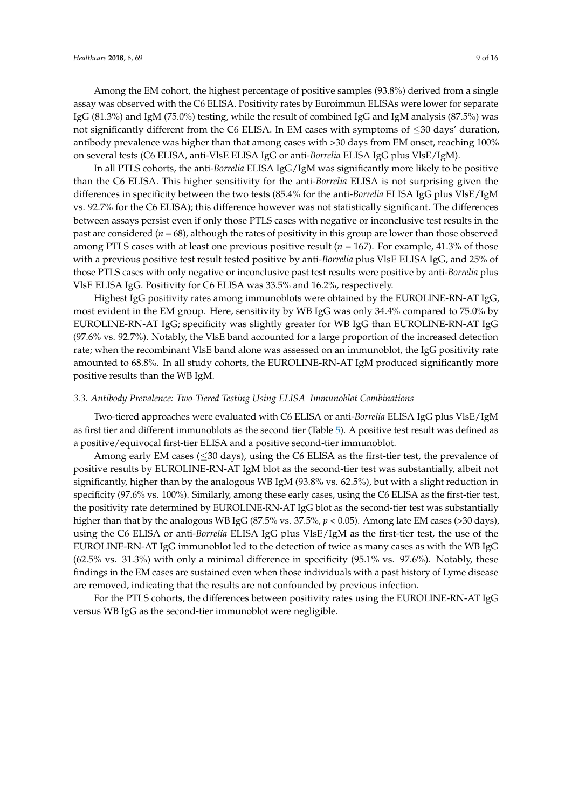In all PTLS cohorts, the anti-*Borrelia* ELISA IgG/IgM was significantly more likely to be positive than the C6 ELISA. This higher sensitivity for the anti-*Borrelia* ELISA is not surprising given the differences in specificity between the two tests (85.4% for the anti-*Borrelia* ELISA IgG plus VlsE/IgM vs. 92.7% for the C6 ELISA); this difference however was not statistically significant. The differences between assays persist even if only those PTLS cases with negative or inconclusive test results in the past are considered (*n* = 68), although the rates of positivity in this group are lower than those observed among PTLS cases with at least one previous positive result (*n* = 167). For example, 41.3% of those with a previous positive test result tested positive by anti-*Borrelia* plus VlsE ELISA IgG, and 25% of those PTLS cases with only negative or inconclusive past test results were positive by anti-*Borrelia* plus VlsE ELISA IgG. Positivity for C6 ELISA was 33.5% and 16.2%, respectively.

Highest IgG positivity rates among immunoblots were obtained by the EUROLINE-RN-AT IgG, most evident in the EM group. Here, sensitivity by WB IgG was only 34.4% compared to 75.0% by EUROLINE-RN-AT IgG; specificity was slightly greater for WB IgG than EUROLINE-RN-AT IgG (97.6% vs. 92.7%). Notably, the VlsE band accounted for a large proportion of the increased detection rate; when the recombinant VlsE band alone was assessed on an immunoblot, the IgG positivity rate amounted to 68.8%. In all study cohorts, the EUROLINE-RN-AT IgM produced significantly more positive results than the WB IgM.

### *3.3. Antibody Prevalence: Two-Tiered Testing Using ELISA–Immunoblot Combinations*

Two-tiered approaches were evaluated with C6 ELISA or anti-*Borrelia* ELISA IgG plus VlsE/IgM as first tier and different immunoblots as the second tier (Table [5\)](#page-9-0). A positive test result was defined as a positive/equivocal first-tier ELISA and a positive second-tier immunoblot.

Among early EM cases ( $\leq$ 30 days), using the C6 ELISA as the first-tier test, the prevalence of positive results by EUROLINE-RN-AT IgM blot as the second-tier test was substantially, albeit not significantly, higher than by the analogous WB IgM (93.8% vs. 62.5%), but with a slight reduction in specificity (97.6% vs. 100%). Similarly, among these early cases, using the C6 ELISA as the first-tier test, the positivity rate determined by EUROLINE-RN-AT IgG blot as the second-tier test was substantially higher than that by the analogous WB IgG (87.5% vs. 37.5%,  $p < 0.05$ ). Among late EM cases (>30 days), using the C6 ELISA or anti-*Borrelia* ELISA IgG plus VlsE/IgM as the first-tier test, the use of the EUROLINE-RN-AT IgG immunoblot led to the detection of twice as many cases as with the WB IgG (62.5% vs. 31.3%) with only a minimal difference in specificity (95.1% vs. 97.6%). Notably, these findings in the EM cases are sustained even when those individuals with a past history of Lyme disease are removed, indicating that the results are not confounded by previous infection.

For the PTLS cohorts, the differences between positivity rates using the EUROLINE-RN-AT IgG versus WB IgG as the second-tier immunoblot were negligible.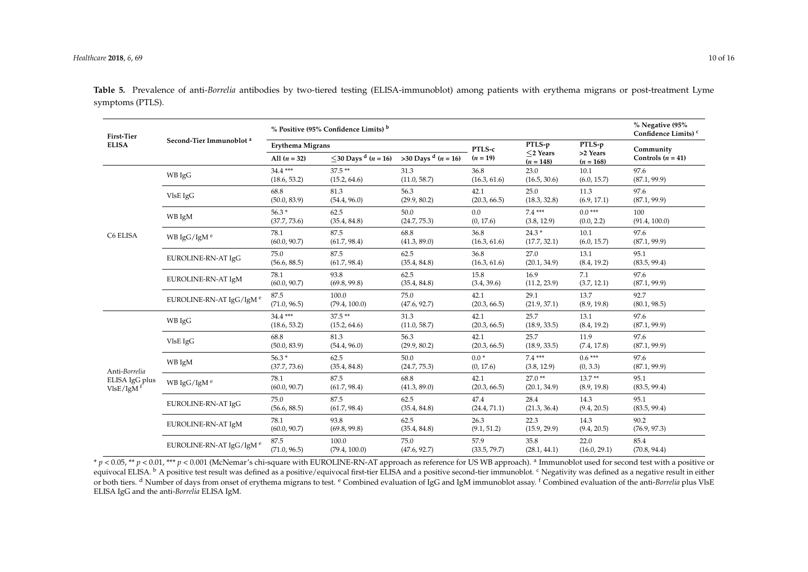| First-Tier                                                 | Second-Tier Immunoblot <sup>a</sup> | % Positive (95% Confidence Limits) b | % Negative (95%<br>Confidence Limits) <sup>c</sup> |                                         |                      |                            |                         |                      |
|------------------------------------------------------------|-------------------------------------|--------------------------------------|----------------------------------------------------|-----------------------------------------|----------------------|----------------------------|-------------------------|----------------------|
| <b>ELISA</b>                                               |                                     | Erythema Migrans                     |                                                    |                                         | PTLS-c               | PTLS-p                     | PTLS-p                  | Community            |
|                                                            |                                     | All $(n = 32)$                       | $\leq$ 30 Days <sup>d</sup> (n = 16)               | >30 Days $\frac{d}{n}$ ( <i>n</i> = 16) | $(n = 19)$           | $<$ 2 Years<br>$(n = 148)$ | >2 Years<br>$(n = 168)$ | Controls $(n = 41)$  |
| C6 ELISA                                                   | WB IgG                              | 34.4***<br>(18.6, 53.2)              | $37.5**$<br>(15.2, 64.6)                           | 31.3<br>(11.0, 58.7)                    | 36.8<br>(16.3, 61.6) | 23.0<br>(16.5, 30.6)       | 10.1<br>(6.0, 15.7)     | 97.6<br>(87.1, 99.9) |
|                                                            | VlsE IgG                            | 68.8<br>(50.0, 83.9)                 | 81.3<br>(54.4, 96.0)                               | 56.3<br>(29.9, 80.2)                    | 42.1<br>(20.3, 66.5) | 25.0<br>(18.3, 32.8)       | 11.3<br>(6.9, 17.1)     | 97.6<br>(87.1, 99.9) |
|                                                            | WB IgM                              | $56.3*$<br>(37.7, 73.6)              | 62.5<br>(35.4, 84.8)                               | 50.0<br>(24.7, 75.3)                    | 0.0<br>(0, 17.6)     | $7.4***$<br>(3.8, 12.9)    | $0.0***$<br>(0.0, 2.2)  | 100<br>(91.4, 100.0) |
|                                                            | WB IgG/IgM <sup>e</sup>             | 78.1<br>(60.0, 90.7)                 | 87.5<br>(61.7, 98.4)                               | 68.8<br>(41.3, 89.0)                    | 36.8<br>(16.3, 61.6) | $24.3*$<br>(17.7, 32.1)    | 10.1<br>(6.0, 15.7)     | 97.6<br>(87.1, 99.9) |
|                                                            | EUROLINE-RN-AT IgG                  | 75.0<br>(56.6, 88.5)                 | 87.5<br>(61.7, 98.4)                               | 62.5<br>(35.4, 84.8)                    | 36.8<br>(16.3, 61.6) | 27.0<br>(20.1, 34.9)       | 13.1<br>(8.4, 19.2)     | 95.1<br>(83.5, 99.4) |
|                                                            | EUROLINE-RN-AT IgM                  | 78.1<br>(60.0, 90.7)                 | 93.8<br>(69.8, 99.8)                               | 62.5<br>(35.4, 84.8)                    | 15.8<br>(3.4, 39.6)  | 16.9<br>(11.2, 23.9)       | 7.1<br>(3.7, 12.1)      | 97.6<br>(87.1, 99.9) |
|                                                            | EUROLINE-RN-AT IgG/IgM <sup>e</sup> | 87.5<br>(71.0, 96.5)                 | 100.0<br>(79.4, 100.0)                             | 75.0<br>(47.6, 92.7)                    | 42.1<br>(20.3, 66.5) | 29.1<br>(21.9, 37.1)       | 13.7<br>(8.9, 19.8)     | 92.7<br>(80.1, 98.5) |
| Anti-Borrelia<br>ELISA IgG plus<br>$VlsE/IgM$ <sup>f</sup> | WB IgG                              | 34.4***<br>(18.6, 53.2)              | $37.5**$<br>(15.2, 64.6)                           | 31.3<br>(11.0, 58.7)                    | 42.1<br>(20.3, 66.5) | 25.7<br>(18.9, 33.5)       | 13.1<br>(8.4, 19.2)     | 97.6<br>(87.1, 99.9) |
|                                                            | VlsE IgG                            | 68.8<br>(50.0, 83.9)                 | 81.3<br>(54.4, 96.0)                               | 56.3<br>(29.9, 80.2)                    | 42.1<br>(20.3, 66.5) | 25.7<br>(18.9, 33.5)       | 11.9<br>(7.4, 17.8)     | 97.6<br>(87.1, 99.9) |
|                                                            | WB IgM                              | $56.3*$<br>(37.7, 73.6)              | 62.5<br>(35.4, 84.8)                               | 50.0<br>(24.7, 75.3)                    | $0.0*$<br>(0, 17.6)  | $7.4***$<br>(3.8, 12.9)    | $0.6***$<br>(0, 3.3)    | 97.6<br>(87.1, 99.9) |
|                                                            | WB IgG/IgM <sup>e</sup>             | 78.1<br>(60.0, 90.7)                 | 87.5<br>(61.7, 98.4)                               | 68.8<br>(41.3, 89.0)                    | 42.1<br>(20.3, 66.5) | $27.0**$<br>(20.1, 34.9)   | $13.7**$<br>(8.9, 19.8) | 95.1<br>(83.5, 99.4) |
|                                                            | EUROLINE-RN-AT IgG                  | 75.0<br>(56.6, 88.5)                 | 87.5<br>(61.7, 98.4)                               | 62.5<br>(35.4, 84.8)                    | 47.4<br>(24.4, 71.1) | 28.4<br>(21.3, 36.4)       | 14.3<br>(9.4, 20.5)     | 95.1<br>(83.5, 99.4) |
|                                                            | EUROLINE-RN-AT IgM                  | 78.1<br>(60.0, 90.7)                 | 93.8<br>(69.8, 99.8)                               | 62.5<br>(35.4, 84.8)                    | 26.3<br>(9.1, 51.2)  | 22.3<br>(15.9, 29.9)       | 14.3<br>(9.4, 20.5)     | 90.2<br>(76.9, 97.3) |
|                                                            | EUROLINE-RN-AT IgG/IgM <sup>e</sup> | 87.5<br>(71.0, 96.5)                 | 100.0<br>(79.4, 100.0)                             | 75.0<br>(47.6, 92.7)                    | 57.9<br>(33.5, 79.7) | 35.8<br>(28.1, 44.1)       | 22.0<br>(16.0, 29.1)    | 85.4<br>(70.8, 94.4) |

**Table 5.** Prevalence of anti-*Borrelia* antibodies by two-tiered testing (ELISA-immunoblot) among patients with erythema migrans or post-treatment Lyme symptoms (PTLS).

<span id="page-9-0"></span>\* *p* < 0.05, \*\* *p* < 0.01, \*\*\* *p* < 0.001 (McNemar's chi-square with EUROLINE-RN-AT approach as reference for US WB approach). <sup>a</sup> Immunoblot used for second test with a positive or equivocal ELISA. <sup>b</sup> A positive test result was defined as a positive/equivocal first-tier ELISA and a positive second-tier immunoblot. <sup>c</sup> Negativity was defined as a negative result in either or both tiers. <sup>d</sup> Number of days from onset of erythema migrans to test. <sup>e</sup> Combined evaluation of IgG and IgM immunoblot assay. <sup>f</sup> Combined evaluation of the anti-*Borrelia* plus VlsE ELISA IgG and the anti-*Borrelia* ELISA IgM.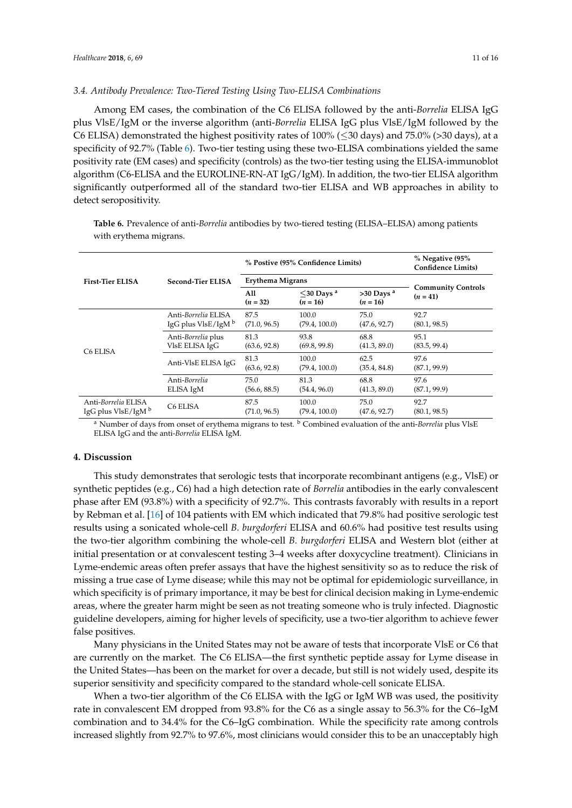# *3.4. Antibody Prevalence: Two-Tiered Testing Using Two-ELISA Combinations*

Among EM cases, the combination of the C6 ELISA followed by the anti-*Borrelia* ELISA IgG plus VlsE/IgM or the inverse algorithm (anti-*Borrelia* ELISA IgG plus VlsE/IgM followed by the C6 ELISA) demonstrated the highest positivity rates of  $100\%$  ( $\leq$ 30 days) and 75.0% (>30 days), at a specificity of 92.7% (Table [6\)](#page-10-0). Two-tier testing using these two-ELISA combinations yielded the same positivity rate (EM cases) and specificity (controls) as the two-tier testing using the ELISA-immunoblot algorithm (C6-ELISA and the EUROLINE-RN-AT IgG/IgM). In addition, the two-tier ELISA algorithm significantly outperformed all of the standard two-tier ELISA and WB approaches in ability to detect seropositivity.

<span id="page-10-0"></span>**Table 6.** Prevalence of anti-*Borrelia* antibodies by two-tiered testing (ELISA–ELISA) among patients with erythema migrans.

|                                                       |                                             |                      | % Postive (95% Confidence Limits)      | % Negative (95%<br><b>Confidence Limits)</b> |                                         |  |
|-------------------------------------------------------|---------------------------------------------|----------------------|----------------------------------------|----------------------------------------------|-----------------------------------------|--|
| <b>First-Tier ELISA</b>                               | Second-Tier ELISA                           | Erythema Migrans     |                                        |                                              |                                         |  |
|                                                       |                                             | All<br>$(n = 32)$    | $<$ 30 Days <sup>a</sup><br>$(n = 16)$ | $>30$ Days <sup>a</sup><br>$(n = 16)$        | <b>Community Controls</b><br>$(n = 41)$ |  |
| C <sub>6</sub> ELISA                                  | Anti-Borrelia ELISA<br>IgG plus $VlsE/IgMb$ | 87.5<br>(71.0, 96.5) | 100.0<br>(79.4, 100.0)                 | 75.0<br>(47.6, 92.7)                         | 92.7<br>(80.1, 98.5)                    |  |
|                                                       | Anti-Borrelia plus<br>VlsE ELISA IgG        | 81.3<br>(63.6, 92.8) | 93.8<br>(69.8, 99.8)                   | 68.8<br>(41.3, 89.0)                         | 95.1<br>(83.5, 99.4)                    |  |
|                                                       | Anti-VlsE ELISA IgG                         | 81.3<br>(63.6, 92.8) | 100.0<br>(79.4, 100.0)                 | 62.5<br>(35.4, 84.8)                         | 97.6<br>(87.1, 99.9)                    |  |
|                                                       | Anti-Borrelia<br>ELISA IgM                  | 75.0<br>(56.6, 88.5) | 81.3<br>(54.4, 96.0)                   | 68.8<br>(41.3, 89.0)                         | 97.6<br>(87.1, 99.9)                    |  |
| Anti-Borrelia ELISA<br>IgG plus VlsE/IgM <sup>b</sup> | C6 ELISA                                    | 87.5<br>(71.0, 96.5) | 100.0<br>(79.4, 100.0)                 | 75.0<br>(47.6, 92.7)                         | 92.7<br>(80.1, 98.5)                    |  |

<sup>a</sup> Number of days from onset of erythema migrans to test. <sup>b</sup> Combined evaluation of the anti-*Borrelia* plus VlsE ELISA IgG and the anti-*Borrelia* ELISA IgM.

# **4. Discussion**

This study demonstrates that serologic tests that incorporate recombinant antigens (e.g., VlsE) or synthetic peptides (e.g., C6) had a high detection rate of *Borrelia* antibodies in the early convalescent phase after EM (93.8%) with a specificity of 92.7%. This contrasts favorably with results in a report by Rebman et al. [\[16\]](#page-14-1) of 104 patients with EM which indicated that 79.8% had positive serologic test results using a sonicated whole-cell *B. burgdorferi* ELISA and 60.6% had positive test results using the two-tier algorithm combining the whole-cell *B. burgdorferi* ELISA and Western blot (either at initial presentation or at convalescent testing 3–4 weeks after doxycycline treatment). Clinicians in Lyme-endemic areas often prefer assays that have the highest sensitivity so as to reduce the risk of missing a true case of Lyme disease; while this may not be optimal for epidemiologic surveillance, in which specificity is of primary importance, it may be best for clinical decision making in Lyme-endemic areas, where the greater harm might be seen as not treating someone who is truly infected. Diagnostic guideline developers, aiming for higher levels of specificity, use a two-tier algorithm to achieve fewer false positives.

Many physicians in the United States may not be aware of tests that incorporate VlsE or C6 that are currently on the market. The C6 ELISA—the first synthetic peptide assay for Lyme disease in the United States—has been on the market for over a decade, but still is not widely used, despite its superior sensitivity and specificity compared to the standard whole-cell sonicate ELISA.

When a two-tier algorithm of the C6 ELISA with the IgG or IgM WB was used, the positivity rate in convalescent EM dropped from 93.8% for the C6 as a single assay to 56.3% for the C6–IgM combination and to 34.4% for the C6–IgG combination. While the specificity rate among controls increased slightly from 92.7% to 97.6%, most clinicians would consider this to be an unacceptably high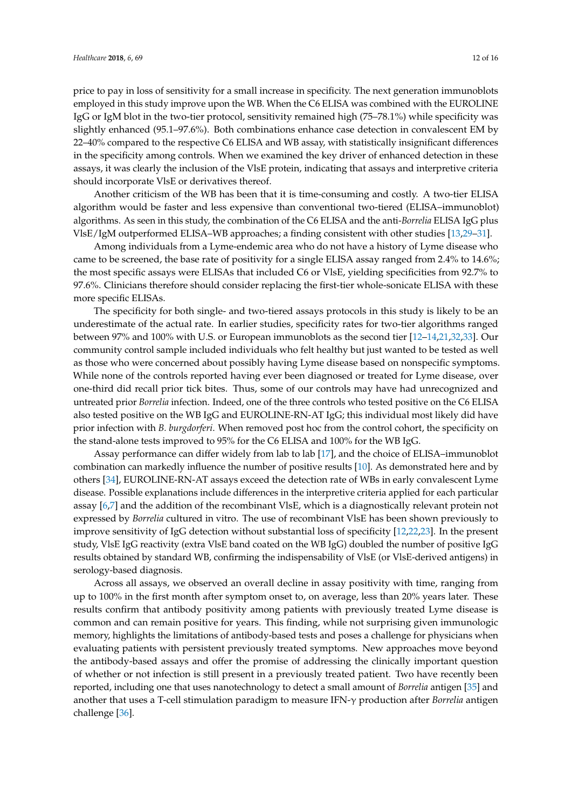price to pay in loss of sensitivity for a small increase in specificity. The next generation immunoblots employed in this study improve upon the WB. When the C6 ELISA was combined with the EUROLINE IgG or IgM blot in the two-tier protocol, sensitivity remained high (75–78.1%) while specificity was slightly enhanced (95.1–97.6%). Both combinations enhance case detection in convalescent EM by 22–40% compared to the respective C6 ELISA and WB assay, with statistically insignificant differences in the specificity among controls. When we examined the key driver of enhanced detection in these assays, it was clearly the inclusion of the VlsE protein, indicating that assays and interpretive criteria should incorporate VlsE or derivatives thereof.

Another criticism of the WB has been that it is time-consuming and costly. A two-tier ELISA algorithm would be faster and less expensive than conventional two-tiered (ELISA–immunoblot) algorithms. As seen in this study, the combination of the C6 ELISA and the anti-*Borrelia* ELISA IgG plus VlsE/IgM outperformed ELISA–WB approaches; a finding consistent with other studies [\[13](#page-14-7)[,29–](#page-15-1)[31\]](#page-15-2).

Among individuals from a Lyme-endemic area who do not have a history of Lyme disease who came to be screened, the base rate of positivity for a single ELISA assay ranged from 2.4% to 14.6%; the most specific assays were ELISAs that included C6 or VlsE, yielding specificities from 92.7% to 97.6%. Clinicians therefore should consider replacing the first-tier whole-sonicate ELISA with these more specific ELISAs.

The specificity for both single- and two-tiered assays protocols in this study is likely to be an underestimate of the actual rate. In earlier studies, specificity rates for two-tier algorithms ranged between 97% and 100% with U.S. or European immunoblots as the second tier [\[12–](#page-14-4)[14,](#page-14-8)[21,](#page-14-9)[32,](#page-15-3)[33\]](#page-15-4). Our community control sample included individuals who felt healthy but just wanted to be tested as well as those who were concerned about possibly having Lyme disease based on nonspecific symptoms. While none of the controls reported having ever been diagnosed or treated for Lyme disease, over one-third did recall prior tick bites. Thus, some of our controls may have had unrecognized and untreated prior *Borrelia* infection. Indeed, one of the three controls who tested positive on the C6 ELISA also tested positive on the WB IgG and EUROLINE-RN-AT IgG; this individual most likely did have prior infection with *B. burgdorferi*. When removed post hoc from the control cohort, the specificity on the stand-alone tests improved to 95% for the C6 ELISA and 100% for the WB IgG.

Assay performance can differ widely from lab to lab [\[17\]](#page-14-2), and the choice of ELISA–immunoblot combination can markedly influence the number of positive results [\[10\]](#page-13-9). As demonstrated here and by others [\[34\]](#page-15-5), EUROLINE-RN-AT assays exceed the detection rate of WBs in early convalescent Lyme disease. Possible explanations include differences in the interpretive criteria applied for each particular assay [\[6](#page-13-5)[,7\]](#page-13-6) and the addition of the recombinant VlsE, which is a diagnostically relevant protein not expressed by *Borrelia* cultured in vitro. The use of recombinant VlsE has been shown previously to improve sensitivity of IgG detection without substantial loss of specificity [\[12](#page-14-4)[,22](#page-14-10)[,23\]](#page-14-11). In the present study, VlsE IgG reactivity (extra VlsE band coated on the WB IgG) doubled the number of positive IgG results obtained by standard WB, confirming the indispensability of VlsE (or VlsE-derived antigens) in serology-based diagnosis.

Across all assays, we observed an overall decline in assay positivity with time, ranging from up to 100% in the first month after symptom onset to, on average, less than 20% years later. These results confirm that antibody positivity among patients with previously treated Lyme disease is common and can remain positive for years. This finding, while not surprising given immunologic memory, highlights the limitations of antibody-based tests and poses a challenge for physicians when evaluating patients with persistent previously treated symptoms. New approaches move beyond the antibody-based assays and offer the promise of addressing the clinically important question of whether or not infection is still present in a previously treated patient. Two have recently been reported, including one that uses nanotechnology to detect a small amount of *Borrelia* antigen [\[35\]](#page-15-6) and another that uses a T-cell stimulation paradigm to measure IFN-γ production after *Borrelia* antigen challenge [\[36\]](#page-15-7).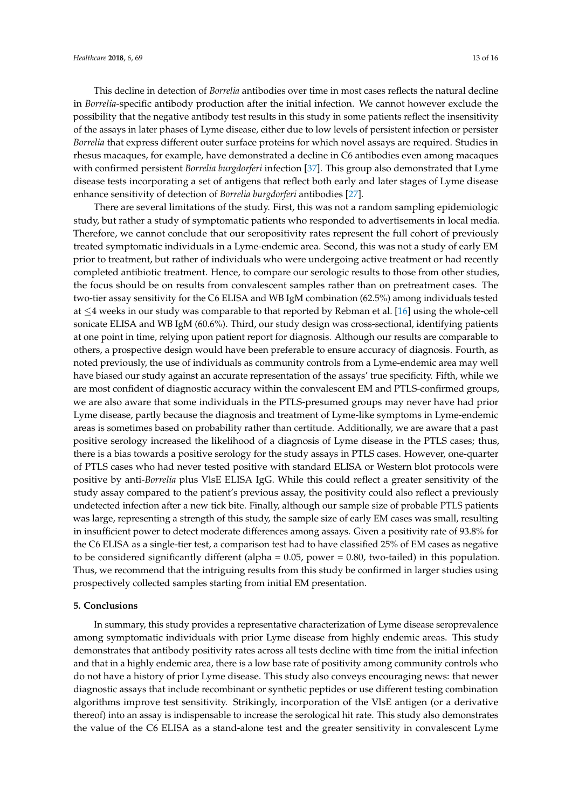This decline in detection of *Borrelia* antibodies over time in most cases reflects the natural decline in *Borrelia*-specific antibody production after the initial infection. We cannot however exclude the possibility that the negative antibody test results in this study in some patients reflect the insensitivity of the assays in later phases of Lyme disease, either due to low levels of persistent infection or persister *Borrelia* that express different outer surface proteins for which novel assays are required. Studies in rhesus macaques, for example, have demonstrated a decline in C6 antibodies even among macaques with confirmed persistent *Borrelia burgdorferi* infection [\[37\]](#page-15-8). This group also demonstrated that Lyme disease tests incorporating a set of antigens that reflect both early and later stages of Lyme disease enhance sensitivity of detection of *Borrelia burgdorferi* antibodies [\[27\]](#page-14-6).

There are several limitations of the study. First, this was not a random sampling epidemiologic study, but rather a study of symptomatic patients who responded to advertisements in local media. Therefore, we cannot conclude that our seropositivity rates represent the full cohort of previously treated symptomatic individuals in a Lyme-endemic area. Second, this was not a study of early EM prior to treatment, but rather of individuals who were undergoing active treatment or had recently completed antibiotic treatment. Hence, to compare our serologic results to those from other studies, the focus should be on results from convalescent samples rather than on pretreatment cases. The two-tier assay sensitivity for the C6 ELISA and WB IgM combination (62.5%) among individuals tested at ≤4 weeks in our study was comparable to that reported by Rebman et al. [\[16\]](#page-14-1) using the whole-cell sonicate ELISA and WB IgM (60.6%). Third, our study design was cross-sectional, identifying patients at one point in time, relying upon patient report for diagnosis. Although our results are comparable to others, a prospective design would have been preferable to ensure accuracy of diagnosis. Fourth, as noted previously, the use of individuals as community controls from a Lyme-endemic area may well have biased our study against an accurate representation of the assays' true specificity. Fifth, while we are most confident of diagnostic accuracy within the convalescent EM and PTLS-confirmed groups, we are also aware that some individuals in the PTLS-presumed groups may never have had prior Lyme disease, partly because the diagnosis and treatment of Lyme-like symptoms in Lyme-endemic areas is sometimes based on probability rather than certitude. Additionally, we are aware that a past positive serology increased the likelihood of a diagnosis of Lyme disease in the PTLS cases; thus, there is a bias towards a positive serology for the study assays in PTLS cases. However, one-quarter of PTLS cases who had never tested positive with standard ELISA or Western blot protocols were positive by anti-*Borrelia* plus VlsE ELISA IgG. While this could reflect a greater sensitivity of the study assay compared to the patient's previous assay, the positivity could also reflect a previously undetected infection after a new tick bite. Finally, although our sample size of probable PTLS patients was large, representing a strength of this study, the sample size of early EM cases was small, resulting in insufficient power to detect moderate differences among assays. Given a positivity rate of 93.8% for the C6 ELISA as a single-tier test, a comparison test had to have classified 25% of EM cases as negative to be considered significantly different (alpha  $= 0.05$ , power  $= 0.80$ , two-tailed) in this population. Thus, we recommend that the intriguing results from this study be confirmed in larger studies using prospectively collected samples starting from initial EM presentation.

# **5. Conclusions**

In summary, this study provides a representative characterization of Lyme disease seroprevalence among symptomatic individuals with prior Lyme disease from highly endemic areas. This study demonstrates that antibody positivity rates across all tests decline with time from the initial infection and that in a highly endemic area, there is a low base rate of positivity among community controls who do not have a history of prior Lyme disease. This study also conveys encouraging news: that newer diagnostic assays that include recombinant or synthetic peptides or use different testing combination algorithms improve test sensitivity. Strikingly, incorporation of the VlsE antigen (or a derivative thereof) into an assay is indispensable to increase the serological hit rate. This study also demonstrates the value of the C6 ELISA as a stand-alone test and the greater sensitivity in convalescent Lyme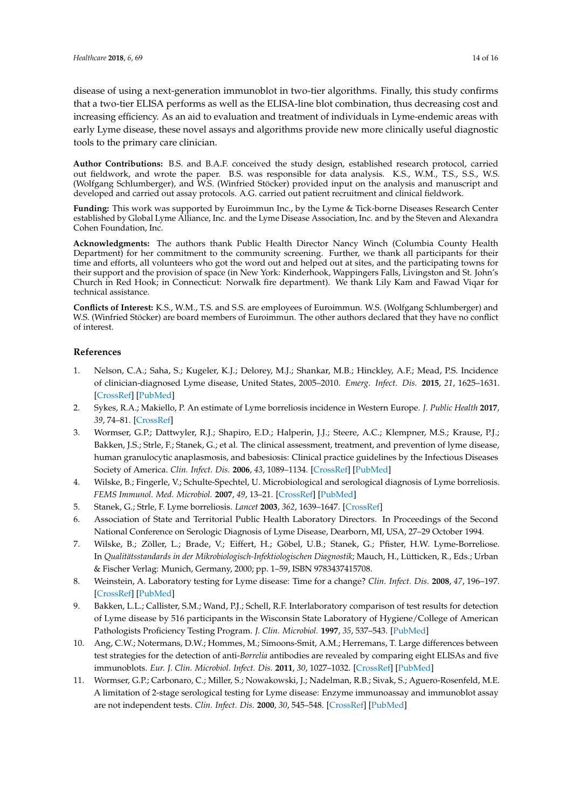disease of using a next-generation immunoblot in two-tier algorithms. Finally, this study confirms that a two-tier ELISA performs as well as the ELISA-line blot combination, thus decreasing cost and increasing efficiency. As an aid to evaluation and treatment of individuals in Lyme-endemic areas with early Lyme disease, these novel assays and algorithms provide new more clinically useful diagnostic tools to the primary care clinician.

**Author Contributions:** B.S. and B.A.F. conceived the study design, established research protocol, carried out fieldwork, and wrote the paper. B.S. was responsible for data analysis. K.S., W.M., T.S., S.S., W.S. (Wolfgang Schlumberger), and W.S. (Winfried Stöcker) provided input on the analysis and manuscript and developed and carried out assay protocols. A.G. carried out patient recruitment and clinical fieldwork.

**Funding:** This work was supported by Euroimmun Inc., by the Lyme & Tick-borne Diseases Research Center established by Global Lyme Alliance, Inc. and the Lyme Disease Association, Inc. and by the Steven and Alexandra Cohen Foundation, Inc.

**Acknowledgments:** The authors thank Public Health Director Nancy Winch (Columbia County Health Department) for her commitment to the community screening. Further, we thank all participants for their time and efforts, all volunteers who got the word out and helped out at sites, and the participating towns for their support and the provision of space (in New York: Kinderhook, Wappingers Falls, Livingston and St. John's Church in Red Hook; in Connecticut: Norwalk fire department). We thank Lily Kam and Fawad Viqar for technical assistance.

<span id="page-13-11"></span><span id="page-13-10"></span>**Conflicts of Interest:** K.S., W.M., T.S. and S.S. are employees of Euroimmun. W.S. (Wolfgang Schlumberger) and W.S. (Winfried Stöcker) are board members of Euroimmun. The other authors declared that they have no conflict of interest.

# **References**

- <span id="page-13-0"></span>1. Nelson, C.A.; Saha, S.; Kugeler, K.J.; Delorey, M.J.; Shankar, M.B.; Hinckley, A.F.; Mead, P.S. Incidence of clinician-diagnosed Lyme disease, United States, 2005–2010. *Emerg. Infect. Dis.* **2015**, *21*, 1625–1631. [\[CrossRef\]](http://dx.doi.org/10.3201/eid2109.150417) [\[PubMed\]](http://www.ncbi.nlm.nih.gov/pubmed/26291194)
- <span id="page-13-1"></span>2. Sykes, R.A.; Makiello, P. An estimate of Lyme borreliosis incidence in Western Europe. *J. Public Health* **2017**, *39*, 74–81. [\[CrossRef\]](http://dx.doi.org/10.1093/pubmed/fdw017)
- <span id="page-13-2"></span>3. Wormser, G.P.; Dattwyler, R.J.; Shapiro, E.D.; Halperin, J.J.; Steere, A.C.; Klempner, M.S.; Krause, P.J.; Bakken, J.S.; Strle, F.; Stanek, G.; et al. The clinical assessment, treatment, and prevention of lyme disease, human granulocytic anaplasmosis, and babesiosis: Clinical practice guidelines by the Infectious Diseases Society of America. *Clin. Infect. Dis.* **2006**, *43*, 1089–1134. [\[CrossRef\]](http://dx.doi.org/10.1086/508667) [\[PubMed\]](http://www.ncbi.nlm.nih.gov/pubmed/17029130)
- <span id="page-13-3"></span>4. Wilske, B.; Fingerle, V.; Schulte-Spechtel, U. Microbiological and serological diagnosis of Lyme borreliosis. *FEMS Immunol. Med. Microbiol.* **2007**, *49*, 13–21. [\[CrossRef\]](http://dx.doi.org/10.1111/j.1574-695X.2006.00139.x) [\[PubMed\]](http://www.ncbi.nlm.nih.gov/pubmed/17266710)
- <span id="page-13-4"></span>5. Stanek, G.; Strle, F. Lyme borreliosis. *Lancet* **2003**, *362*, 1639–1647. [\[CrossRef\]](http://dx.doi.org/10.1016/S0140-6736(03)14798-8)
- <span id="page-13-5"></span>6. Association of State and Territorial Public Health Laboratory Directors. In Proceedings of the Second National Conference on Serologic Diagnosis of Lyme Disease, Dearborn, MI, USA, 27–29 October 1994.
- <span id="page-13-6"></span>7. Wilske, B.; Zöller, L.; Brade, V.; Eiffert, H.; Göbel, U.B.; Stanek, G.; Pfister, H.W. Lyme-Borreliose. In *Qualitätsstandards in der Mikrobiologisch-Infektiologischen Diagnostik*; Mauch, H., Lütticken, R., Eds.; Urban & Fischer Verlag: Munich, Germany, 2000; pp. 1–59, ISBN 9783437415708.
- <span id="page-13-7"></span>8. Weinstein, A. Laboratory testing for Lyme disease: Time for a change? *Clin. Infect. Dis.* **2008**, *47*, 196–197. [\[CrossRef\]](http://dx.doi.org/10.1086/589316) [\[PubMed\]](http://www.ncbi.nlm.nih.gov/pubmed/18532894)
- <span id="page-13-8"></span>9. Bakken, L.L.; Callister, S.M.; Wand, P.J.; Schell, R.F. Interlaboratory comparison of test results for detection of Lyme disease by 516 participants in the Wisconsin State Laboratory of Hygiene/College of American Pathologists Proficiency Testing Program. *J. Clin. Microbiol.* **1997**, *35*, 537–543. [\[PubMed\]](http://www.ncbi.nlm.nih.gov/pubmed/9041384)
- <span id="page-13-9"></span>10. Ang, C.W.; Notermans, D.W.; Hommes, M.; Simoons-Smit, A.M.; Herremans, T. Large differences between test strategies for the detection of anti-*Borrelia* antibodies are revealed by comparing eight ELISAs and five immunoblots. *Eur. J. Clin. Microbiol. Infect. Dis.* **2011**, *30*, 1027–1032. [\[CrossRef\]](http://dx.doi.org/10.1007/s10096-011-1157-6) [\[PubMed\]](http://www.ncbi.nlm.nih.gov/pubmed/21271270)
- 11. Wormser, G.P.; Carbonaro, C.; Miller, S.; Nowakowski, J.; Nadelman, R.B.; Sivak, S.; Aguero-Rosenfeld, M.E. A limitation of 2-stage serological testing for Lyme disease: Enzyme immunoassay and immunoblot assay are not independent tests. *Clin. Infect. Dis.* **2000**, *30*, 545–548. [\[CrossRef\]](http://dx.doi.org/10.1086/313688) [\[PubMed\]](http://www.ncbi.nlm.nih.gov/pubmed/10722442)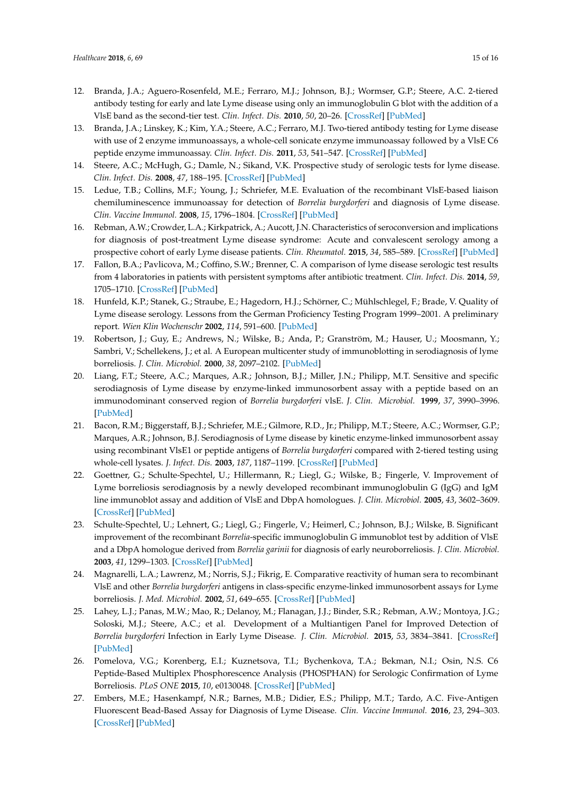- <span id="page-14-4"></span>12. Branda, J.A.; Aguero-Rosenfeld, M.E.; Ferraro, M.J.; Johnson, B.J.; Wormser, G.P.; Steere, A.C. 2-tiered antibody testing for early and late Lyme disease using only an immunoglobulin G blot with the addition of a VlsE band as the second-tier test. *Clin. Infect. Dis.* **2010**, *50*, 20–26. [\[CrossRef\]](http://dx.doi.org/10.1086/648674) [\[PubMed\]](http://www.ncbi.nlm.nih.gov/pubmed/19947857)
- <span id="page-14-7"></span>13. Branda, J.A.; Linskey, K.; Kim, Y.A.; Steere, A.C.; Ferraro, M.J. Two-tiered antibody testing for Lyme disease with use of 2 enzyme immunoassays, a whole-cell sonicate enzyme immunoassay followed by a VlsE C6 peptide enzyme immunoassay. *Clin. Infect. Dis.* **2011**, *53*, 541–547. [\[CrossRef\]](http://dx.doi.org/10.1093/cid/cir464) [\[PubMed\]](http://www.ncbi.nlm.nih.gov/pubmed/21865190)
- <span id="page-14-8"></span>14. Steere, A.C.; McHugh, G.; Damle, N.; Sikand, V.K. Prospective study of serologic tests for lyme disease. *Clin. Infect. Dis.* **2008**, *47*, 188–195. [\[CrossRef\]](http://dx.doi.org/10.1086/589242) [\[PubMed\]](http://www.ncbi.nlm.nih.gov/pubmed/18532885)
- <span id="page-14-0"></span>15. Ledue, T.B.; Collins, M.F.; Young, J.; Schriefer, M.E. Evaluation of the recombinant VlsE-based liaison chemiluminescence immunoassay for detection of *Borrelia burgdorferi* and diagnosis of Lyme disease. *Clin. Vaccine Immunol.* **2008**, *15*, 1796–1804. [\[CrossRef\]](http://dx.doi.org/10.1128/CVI.00195-08) [\[PubMed\]](http://www.ncbi.nlm.nih.gov/pubmed/18945880)
- <span id="page-14-1"></span>16. Rebman, A.W.; Crowder, L.A.; Kirkpatrick, A.; Aucott, J.N. Characteristics of seroconversion and implications for diagnosis of post-treatment Lyme disease syndrome: Acute and convalescent serology among a prospective cohort of early Lyme disease patients. *Clin. Rheumatol.* **2015**, *34*, 585–589. [\[CrossRef\]](http://dx.doi.org/10.1007/s10067-014-2706-z) [\[PubMed\]](http://www.ncbi.nlm.nih.gov/pubmed/24924604)
- <span id="page-14-2"></span>17. Fallon, B.A.; Pavlicova, M.; Coffino, S.W.; Brenner, C. A comparison of lyme disease serologic test results from 4 laboratories in patients with persistent symptoms after antibiotic treatment. *Clin. Infect. Dis.* **2014**, *59*, 1705–1710. [\[CrossRef\]](http://dx.doi.org/10.1093/cid/ciu703) [\[PubMed\]](http://www.ncbi.nlm.nih.gov/pubmed/25182244)
- 18. Hunfeld, K.P.; Stanek, G.; Straube, E.; Hagedorn, H.J.; Schörner, C.; Mühlschlegel, F.; Brade, V. Quality of Lyme disease serology. Lessons from the German Proficiency Testing Program 1999–2001. A preliminary report. *Wien Klin Wochenschr* **2002**, *114*, 591–600. [\[PubMed\]](http://www.ncbi.nlm.nih.gov/pubmed/12422607)
- <span id="page-14-3"></span>19. Robertson, J.; Guy, E.; Andrews, N.; Wilske, B.; Anda, P.; Granström, M.; Hauser, U.; Moosmann, Y.; Sambri, V.; Schellekens, J.; et al. A European multicenter study of immunoblotting in serodiagnosis of lyme borreliosis. *J. Clin. Microbiol.* **2000**, *38*, 2097–2102. [\[PubMed\]](http://www.ncbi.nlm.nih.gov/pubmed/10834959)
- <span id="page-14-5"></span>20. Liang, F.T.; Steere, A.C.; Marques, A.R.; Johnson, B.J.; Miller, J.N.; Philipp, M.T. Sensitive and specific serodiagnosis of Lyme disease by enzyme-linked immunosorbent assay with a peptide based on an immunodominant conserved region of *Borrelia burgdorferi* vlsE. *J. Clin. Microbiol.* **1999**, *37*, 3990–3996. [\[PubMed\]](http://www.ncbi.nlm.nih.gov/pubmed/10565920)
- <span id="page-14-9"></span>21. Bacon, R.M.; Biggerstaff, B.J.; Schriefer, M.E.; Gilmore, R.D., Jr.; Philipp, M.T.; Steere, A.C.; Wormser, G.P.; Marques, A.R.; Johnson, B.J. Serodiagnosis of Lyme disease by kinetic enzyme-linked immunosorbent assay using recombinant VlsE1 or peptide antigens of *Borrelia burgdorferi* compared with 2-tiered testing using whole-cell lysates. *J. Infect. Dis.* **2003**, *187*, 1187–1199. [\[CrossRef\]](http://dx.doi.org/10.1086/374395) [\[PubMed\]](http://www.ncbi.nlm.nih.gov/pubmed/12695997)
- <span id="page-14-10"></span>22. Goettner, G.; Schulte-Spechtel, U.; Hillermann, R.; Liegl, G.; Wilske, B.; Fingerle, V. Improvement of Lyme borreliosis serodiagnosis by a newly developed recombinant immunoglobulin G (IgG) and IgM line immunoblot assay and addition of VlsE and DbpA homologues. *J. Clin. Microbiol.* **2005**, *43*, 3602–3609. [\[CrossRef\]](http://dx.doi.org/10.1128/JCM.43.8.3602-3609.2005) [\[PubMed\]](http://www.ncbi.nlm.nih.gov/pubmed/16081885)
- <span id="page-14-11"></span>23. Schulte-Spechtel, U.; Lehnert, G.; Liegl, G.; Fingerle, V.; Heimerl, C.; Johnson, B.J.; Wilske, B. Significant improvement of the recombinant *Borrelia*-specific immunoglobulin G immunoblot test by addition of VlsE and a DbpA homologue derived from *Borrelia garinii* for diagnosis of early neuroborreliosis. *J. Clin. Microbiol.* **2003**, *41*, 1299–1303. [\[CrossRef\]](http://dx.doi.org/10.1128/JCM.41.3.1299-1303.2003) [\[PubMed\]](http://www.ncbi.nlm.nih.gov/pubmed/12624072)
- 24. Magnarelli, L.A.; Lawrenz, M.; Norris, S.J.; Fikrig, E. Comparative reactivity of human sera to recombinant VlsE and other *Borrelia burgdorferi* antigens in class-specific enzyme-linked immunosorbent assays for Lyme borreliosis. *J. Med. Microbiol.* **2002**, *51*, 649–655. [\[CrossRef\]](http://dx.doi.org/10.1099/0022-1317-51-8-649) [\[PubMed\]](http://www.ncbi.nlm.nih.gov/pubmed/12171295)
- 25. Lahey, L.J.; Panas, M.W.; Mao, R.; Delanoy, M.; Flanagan, J.J.; Binder, S.R.; Rebman, A.W.; Montoya, J.G.; Soloski, M.J.; Steere, A.C.; et al. Development of a Multiantigen Panel for Improved Detection of *Borrelia burgdorferi* Infection in Early Lyme Disease. *J. Clin. Microbiol.* **2015**, *53*, 3834–3841. [\[CrossRef\]](http://dx.doi.org/10.1128/JCM.02111-15) [\[PubMed\]](http://www.ncbi.nlm.nih.gov/pubmed/26447113)
- 26. Pomelova, V.G.; Korenberg, E.I.; Kuznetsova, T.I.; Bychenkova, T.A.; Bekman, N.I.; Osin, N.S. C6 Peptide-Based Multiplex Phosphorescence Analysis (PHOSPHAN) for Serologic Confirmation of Lyme Borreliosis. *PLoS ONE* **2015**, *10*, e0130048. [\[CrossRef\]](http://dx.doi.org/10.1371/journal.pone.0130048) [\[PubMed\]](http://www.ncbi.nlm.nih.gov/pubmed/26147441)
- <span id="page-14-6"></span>27. Embers, M.E.; Hasenkampf, N.R.; Barnes, M.B.; Didier, E.S.; Philipp, M.T.; Tardo, A.C. Five-Antigen Fluorescent Bead-Based Assay for Diagnosis of Lyme Disease. *Clin. Vaccine Immunol.* **2016**, *23*, 294–303. [\[CrossRef\]](http://dx.doi.org/10.1128/CVI.00685-15) [\[PubMed\]](http://www.ncbi.nlm.nih.gov/pubmed/26843487)